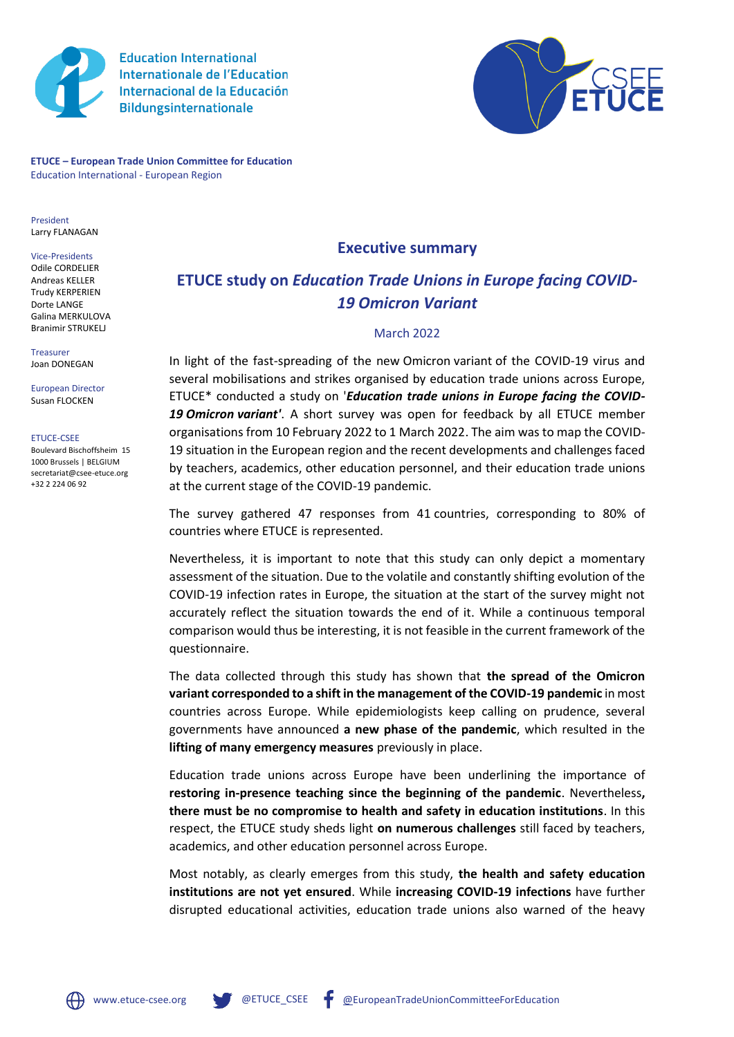

**Education International Internationale de l'Education** Internacional de la Educación **Bildungsinternationale** 



**ETUCE – European Trade Union Committee for Education** Education International - European Region

President Larry FLANAGAN

Vice-Presidents Odile CORDELIER Andreas KELLER Trudy KERPERIEN Dorte LANGE Galina MERKULOVA Branimir STRUKELJ

Treasurer Joan DONEGAN

European Director Susan FLOCKEN

ETUCE-CSEE

Boulevard Bischoffsheim 15 1000 Brussels | BELGIUM secretariat@csee-etuce.org +32 2 224 06 92

## **Executive summary**

## **ETUCE study on** *Education Trade Unions in Europe facing COVID-19 Omicron Variant*

## March 2022

In light of the fast-spreading of the new Omicron variant of the COVID-19 virus and several mobilisations and strikes organised by education trade unions across Europe, ETUCE\* conducted a study on '*Education trade unions in Europe facing the COVID-19 Omicron variant'*. A short survey was open for feedback by all ETUCE member organisations from 10 February 2022 to 1 March 2022. The aim was to map the COVID-19 situation in the European region and the recent developments and challenges faced by teachers, academics, other education personnel, and their education trade unions at the current stage of the COVID-19 pandemic.

The survey gathered 47 responses from 41 countries, corresponding to 80% of countries where ETUCE is represented.

Nevertheless, it is important to note that this study can only depict a momentary assessment of the situation. Due to the volatile and constantly shifting evolution of the COVID-19 infection rates in Europe, the situation at the start of the survey might not accurately reflect the situation towards the end of it. While a continuous temporal comparison would thus be interesting, it is not feasible in the current framework of the questionnaire.

The data collected through this study has shown that **the spread of the Omicron variant corresponded to a shift in the management of the COVID-19 pandemic** in most countries across Europe. While epidemiologists keep calling on prudence, several governments have announced **a new phase of the pandemic**, which resulted in the **lifting of many emergency measures** previously in place.

Education trade unions across Europe have been underlining the importance of **restoring in-presence teaching since the beginning of the pandemic**. Nevertheless**, there must be no compromise to health and safety in education institutions**. In this respect, the ETUCE study sheds light **on numerous challenges** still faced by teachers, academics, and other education personnel across Europe.

Most notably, as clearly emerges from this study, **the health and safety education institutions are not yet ensured**. While **increasing COVID-19 infections** have further disrupted educational activities, education trade unions also warned of the heavy